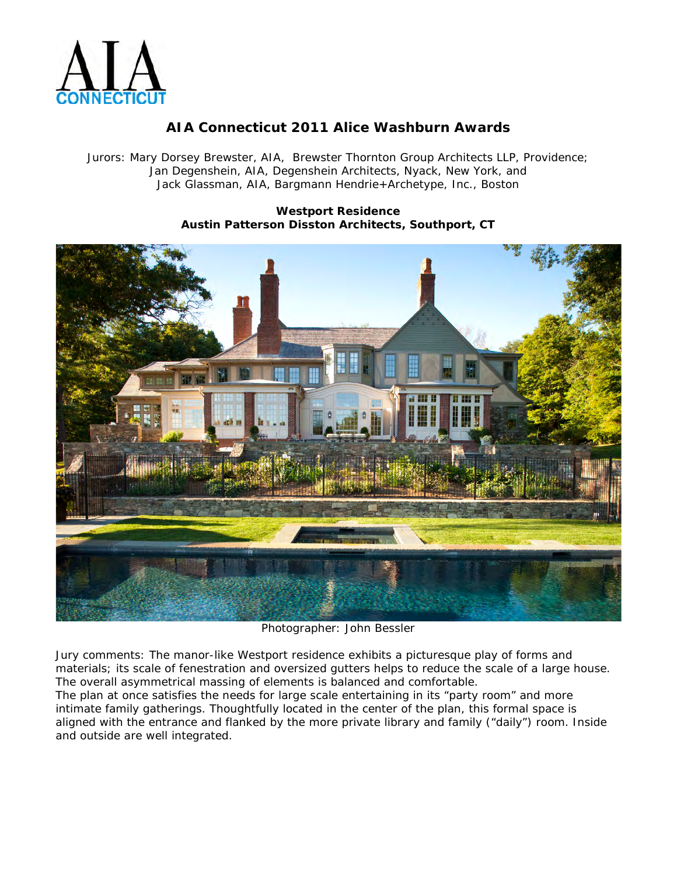

# **AIA Connecticut 2011 Alice Washburn Awards**

Jurors: Mary Dorsey Brewster, AIA, Brewster Thornton Group Architects LLP, Providence; Jan Degenshein, AIA, Degenshein Architects, Nyack, New York, and Jack Glassman, AIA, Bargmann Hendrie+Archetype, Inc., Boston

### **Westport Residence Austin Patterson Disston Architects, Southport, CT**



Photographer: John Bessler

Jury comments: *The manor-like Westport residence exhibits a picturesque play of forms and materials; its scale of fenestration and oversized gutters helps to reduce the scale of a large house. The overall asymmetrical massing of elements is balanced and comfortable. The plan at once satisfies the needs for large scale entertaining in its "party room" and more intimate family gatherings. Thoughtfully located in the center of the plan, this formal space is aligned with the entrance and flanked by the more private library and family ("daily") room. Inside and outside are well integrated*.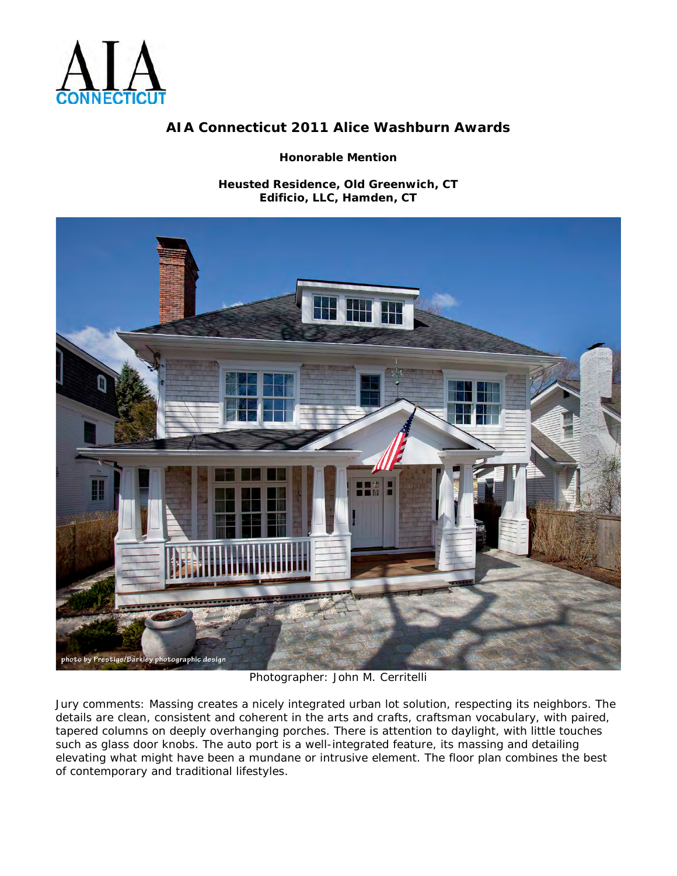

# **AIA Connecticut 2011 Alice Washburn Awards**

**Honorable Mention**

**Heusted Residence, Old Greenwich, CT Edificio, LLC, Hamden, CT**



Photographer: John M. Cerritelli

Jury comments: *Massing creates a nicely integrated urban lot solution, respecting its neighbors. The details are clean, consistent and coherent in the arts and crafts, craftsman vocabulary, with paired, tapered columns on deeply overhanging porches. There is attention to daylight, with little touches such as glass door knobs. The auto port is a well-integrated feature, its massing and detailing elevating what might have been a mundane or intrusive element. The floor plan combines the best of contemporary and traditional lifestyles.*